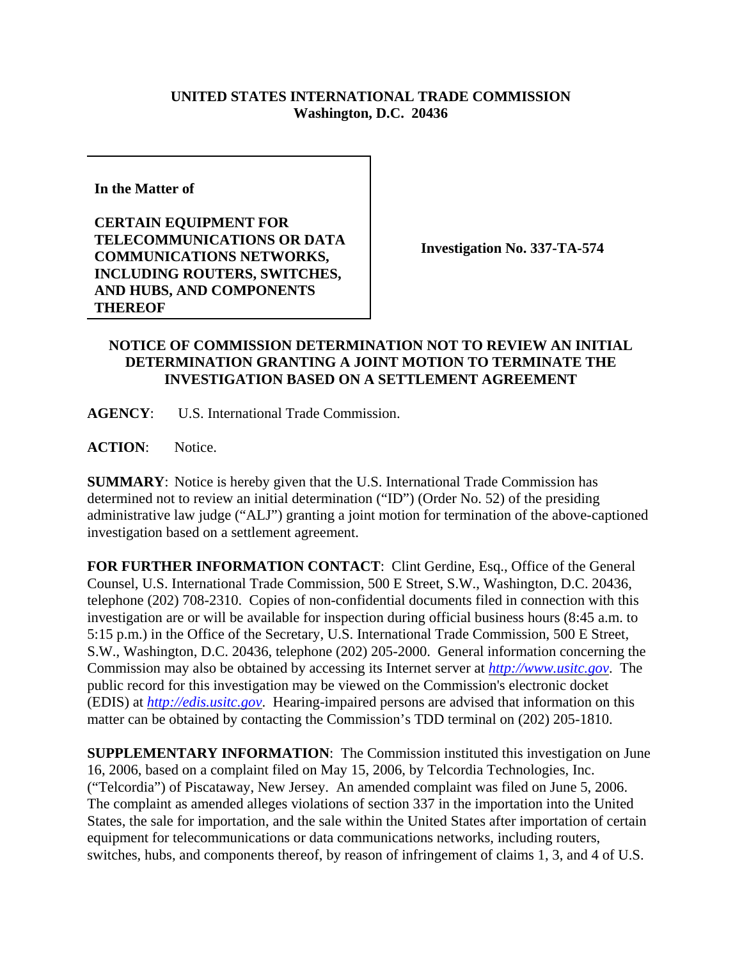## **UNITED STATES INTERNATIONAL TRADE COMMISSION Washington, D.C. 20436**

**In the Matter of** 

**CERTAIN EQUIPMENT FOR TELECOMMUNICATIONS OR DATA COMMUNICATIONS NETWORKS, INCLUDING ROUTERS, SWITCHES, AND HUBS, AND COMPONENTS THEREOF**

**Investigation No. 337-TA-574**

## **NOTICE OF COMMISSION DETERMINATION NOT TO REVIEW AN INITIAL DETERMINATION GRANTING A JOINT MOTION TO TERMINATE THE INVESTIGATION BASED ON A SETTLEMENT AGREEMENT**

**AGENCY**: U.S. International Trade Commission.

ACTION: Notice.

**SUMMARY**: Notice is hereby given that the U.S. International Trade Commission has determined not to review an initial determination ("ID") (Order No. 52) of the presiding administrative law judge ("ALJ") granting a joint motion for termination of the above-captioned investigation based on a settlement agreement.

**FOR FURTHER INFORMATION CONTACT**: Clint Gerdine, Esq., Office of the General Counsel, U.S. International Trade Commission, 500 E Street, S.W., Washington, D.C. 20436, telephone (202) 708-2310. Copies of non-confidential documents filed in connection with this investigation are or will be available for inspection during official business hours (8:45 a.m. to 5:15 p.m.) in the Office of the Secretary, U.S. International Trade Commission, 500 E Street, S.W., Washington, D.C. 20436, telephone (202) 205-2000. General information concerning the Commission may also be obtained by accessing its Internet server at *http://www.usitc.gov*. The public record for this investigation may be viewed on the Commission's electronic docket (EDIS) at *http://edis.usitc.gov*. Hearing-impaired persons are advised that information on this matter can be obtained by contacting the Commission's TDD terminal on (202) 205-1810.

**SUPPLEMENTARY INFORMATION**: The Commission instituted this investigation on June 16, 2006, based on a complaint filed on May 15, 2006, by Telcordia Technologies, Inc. ("Telcordia") of Piscataway, New Jersey. An amended complaint was filed on June 5, 2006. The complaint as amended alleges violations of section 337 in the importation into the United States, the sale for importation, and the sale within the United States after importation of certain equipment for telecommunications or data communications networks, including routers, switches, hubs, and components thereof, by reason of infringement of claims 1, 3, and 4 of U.S.